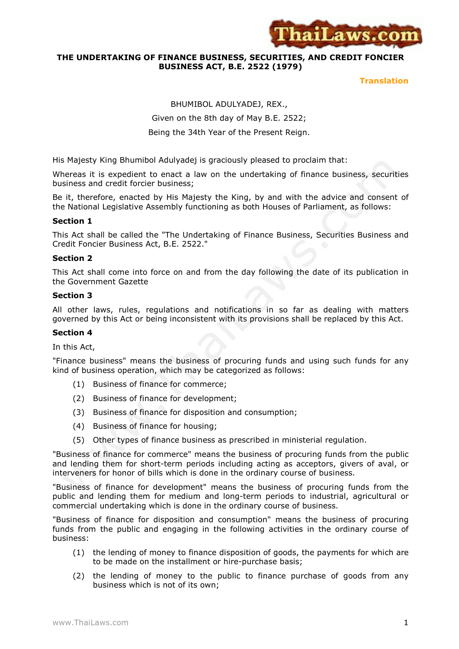

## **THE UNDERTAKING OF FINANCE BUSINESS, SECURITIES, AND CREDIT FONCIER BUSINESS ACT, B.E. 2522 (1979)**

**Translation**

BHUMIBOL ADULYADEJ, REX., Given on the 8th day of May B.E. 2522;

## Being the 34th Year of the Present Reign.

His Majesty King Bhumibol Adulyadej is graciously pleased to proclaim that:

Whereas it is expedient to enact a law on the undertaking of finance business, securities business and credit forcier business;

Be it, therefore, enacted by His Majesty the King, by and with the advice and consent of the National Legislative Assembly functioning as both Houses of Parliament, as follows:

#### **Section 1**

This Act shall be called the "The Undertaking of Finance Business, Securities Business and Credit Foncier Business Act, B.E. 2522."

#### **Section 2**

This Act shall come into force on and from the day following the date of its publication in the Government Gazette

#### **Section 3**

All other laws, rules, regulations and notifications in so far as dealing with matters governed by this Act or being inconsistent with its provisions shall be replaced by this Act.

#### **Section 4**

In this Act,

"Finance business" means the business of procuring funds and using such funds for any kind of business operation, which may be categorized as follows:

- (1) Business of finance for commerce;
- (2) Business of finance for development;
- (3) Business of finance for disposition and consumption;
- (4) Business of finance for housing;
- (5) Other types of finance business as prescribed in ministerial regulation.

"Business of finance for commerce" means the business of procuring funds from the public and lending them for short-term periods including acting as acceptors, givers of aval, or interveners for honor of bills which is done in the ordinary course of business.

"Business of finance for development" means the business of procuring funds from the public and lending them for medium and long-term periods to industrial, agricultural or commercial undertaking which is done in the ordinary course of business.

"Business of finance for disposition and consumption" means the business of procuring funds from the public and engaging in the following activities in the ordinary course of business:

- (1) the lending of money to finance disposition of goods, the payments for which are to be made on the installment or hire-purchase basis;
- (2) the lending of money to the public to finance purchase of goods from any business which is not of its own;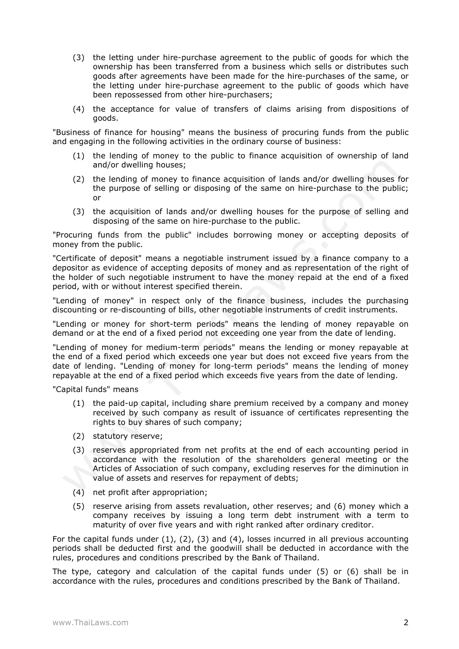- (3) the letting under hire-purchase agreement to the public of goods for which the ownership has been transferred from a business which sells or distributes such goods after agreements have been made for the hire-purchases of the same, or the letting under hire-purchase agreement to the public of goods which have been repossessed from other hire-purchasers;
- (4) the acceptance for value of transfers of claims arising from dispositions of goods.

"Business of finance for housing" means the business of procuring funds from the public and engaging in the following activities in the ordinary course of business:

- (1) the lending of money to the public to finance acquisition of ownership of land and/or dwelling houses;
- (2) the lending of money to finance acquisition of lands and/or dwelling houses for the purpose of selling or disposing of the same on hire-purchase to the public; or
- (3) the acquisition of lands and/or dwelling houses for the purpose of selling and disposing of the same on hire-purchase to the public.

"Procuring funds from the public" includes borrowing money or accepting deposits of money from the public.

"Certificate of deposit" means a negotiable instrument issued by a finance company to a depositor as evidence of accepting deposits of money and as representation of the right of the holder of such negotiable instrument to have the money repaid at the end of a fixed period, with or without interest specified therein.

"Lending of money" in respect only of the finance business, includes the purchasing discounting or re-discounting of bills, other negotiable instruments of credit instruments.

"Lending or money for short-term periods" means the lending of money repayable on demand or at the end of a fixed period not exceeding one year from the date of lending.

"Lending of money for medium-term periods" means the lending or money repayable at the end of a fixed period which exceeds one year but does not exceed five years from the date of lending. "Lending of money for long-term periods" means the lending of money repayable at the end of a fixed period which exceeds five years from the date of lending.

"Capital funds" means

- (1) the paid-up capital, including share premium received by a company and money received by such company as result of issuance of certificates representing the rights to buy shares of such company;
- (2) statutory reserve;
- (3) reserves appropriated from net profits at the end of each accounting period in accordance with the resolution of the shareholders general meeting or the Articles of Association of such company, excluding reserves for the diminution in value of assets and reserves for repayment of debts;
- (4) net profit after appropriation;
- (5) reserve arising from assets revaluation, other reserves; and (6) money which a company receives by issuing a long term debt instrument with a term to maturity of over five years and with right ranked after ordinary creditor.

For the capital funds under (1), (2), (3) and (4), losses incurred in all previous accounting periods shall be deducted first and the goodwill shall be deducted in accordance with the rules, procedures and conditions prescribed by the Bank of Thailand.

The type, category and calculation of the capital funds under (5) or (6) shall be in accordance with the rules, procedures and conditions prescribed by the Bank of Thailand.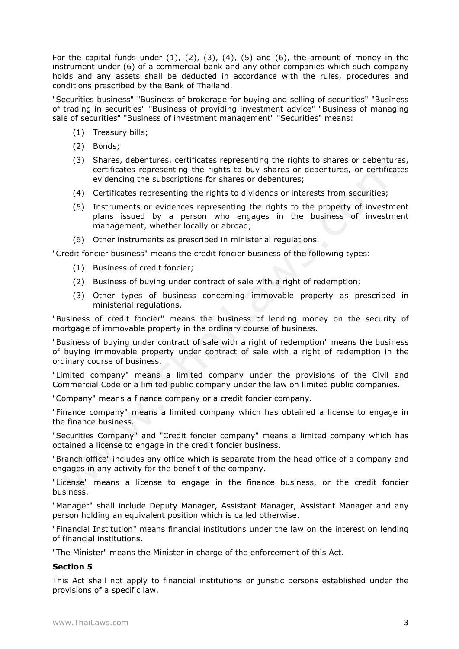For the capital funds under  $(1)$ ,  $(2)$ ,  $(3)$ ,  $(4)$ ,  $(5)$  and  $(6)$ , the amount of money in the instrument under (6) of a commercial bank and any other companies which such company holds and any assets shall be deducted in accordance with the rules, procedures and conditions prescribed by the Bank of Thailand.

"Securities business" "Business of brokerage for buying and selling of securities" "Business of trading in securities" "Business of providing investment advice" "Business of managing sale of securities" "Business of investment management" "Securities" means:

- (1) Treasury bills;
- (2) Bonds;
- (3) Shares, debentures, certificates representing the rights to shares or debentures, certificates representing the rights to buy shares or debentures, or certificates evidencing the subscriptions for shares or debentures;
- (4) Certificates representing the rights to dividends or interests from securities;
- (5) Instruments or evidences representing the rights to the property of investment plans issued by a person who engages in the business of investment management, whether locally or abroad;
- (6) Other instruments as prescribed in ministerial regulations.

"Credit foncier business" means the credit foncier business of the following types:

- (1) Business of credit foncier;
- (2) Business of buying under contract of sale with a right of redemption;
- (3) Other types of business concerning immovable property as prescribed in ministerial regulations.

"Business of credit foncier" means the business of lending money on the security of mortgage of immovable property in the ordinary course of business.

"Business of buying under contract of sale with a right of redemption" means the business of buying immovable property under contract of sale with a right of redemption in the ordinary course of business.

"Limited company" means a limited company under the provisions of the Civil and Commercial Code or a limited public company under the law on limited public companies.

"Company" means a finance company or a credit foncier company.

"Finance company" means a limited company which has obtained a license to engage in the finance business.

"Securities Company" and "Credit foncier company" means a limited company which has obtained a license to engage in the credit foncier business.

"Branch office" includes any office which is separate from the head office of a company and engages in any activity for the benefit of the company.

"License" means a license to engage in the finance business, or the credit foncier business.

"Manager" shall include Deputy Manager, Assistant Manager, Assistant Manager and any person holding an equivalent position which is called otherwise.

"Financial Institution" means financial institutions under the law on the interest on lending of financial institutions.

"The Minister" means the Minister in charge of the enforcement of this Act.

## **Section 5**

This Act shall not apply to financial institutions or juristic persons established under the provisions of a specific law.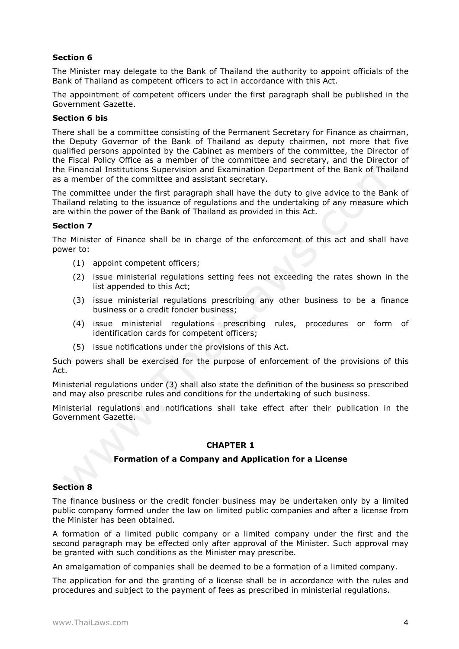The Minister may delegate to the Bank of Thailand the authority to appoint officials of the Bank of Thailand as competent officers to act in accordance with this Act.

The appointment of competent officers under the first paragraph shall be published in the Government Gazette.

#### **Section 6 bis**

There shall be a committee consisting of the Permanent Secretary for Finance as chairman, the Deputy Governor of the Bank of Thailand as deputy chairmen, not more that five qualified persons appointed by the Cabinet as members of the committee, the Director of the Fiscal Policy Office as a member of the committee and secretary, and the Director of the Financial Institutions Supervision and Examination Department of the Bank of Thailand as a member of the committee and assistant secretary.

The committee under the first paragraph shall have the duty to give advice to the Bank of Thailand relating to the issuance of regulations and the undertaking of any measure which are within the power of the Bank of Thailand as provided in this Act.

## **Section 7**

The Minister of Finance shall be in charge of the enforcement of this act and shall have power to:

- (1) appoint competent officers;
- (2) issue ministerial regulations setting fees not exceeding the rates shown in the list appended to this Act;
- (3) issue ministerial regulations prescribing any other business to be a finance business or a credit foncier business;
- (4) issue ministerial regulations prescribing rules, procedures or form of identification cards for competent officers;
- (5) issue notifications under the provisions of this Act.

Such powers shall be exercised for the purpose of enforcement of the provisions of this Act.

Ministerial regulations under (3) shall also state the definition of the business so prescribed and may also prescribe rules and conditions for the undertaking of such business.

Ministerial regulations and notifications shall take effect after their publication in the Government Gazette.

## **CHAPTER 1**

## **Formation of a Company and Application for a License**

#### **Section 8**

The finance business or the credit foncier business may be undertaken only by a limited public company formed under the law on limited public companies and after a license from the Minister has been obtained.

A formation of a limited public company or a limited company under the first and the second paragraph may be effected only after approval of the Minister. Such approval may be granted with such conditions as the Minister may prescribe.

An amalgamation of companies shall be deemed to be a formation of a limited company.

The application for and the granting of a license shall be in accordance with the rules and procedures and subject to the payment of fees as prescribed in ministerial regulations.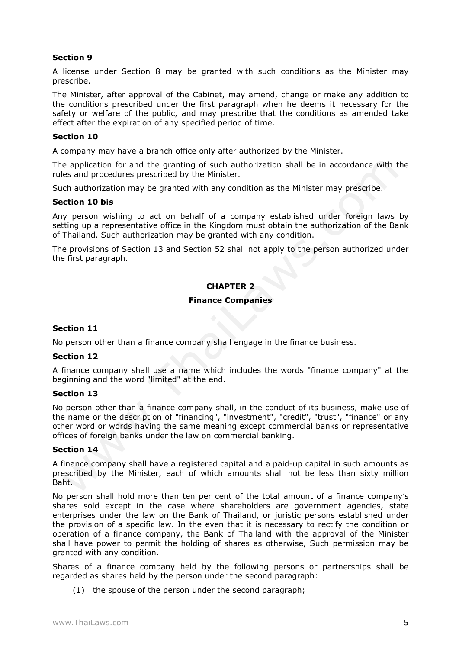A license under Section 8 may be granted with such conditions as the Minister may prescribe.

The Minister, after approval of the Cabinet, may amend, change or make any addition to the conditions prescribed under the first paragraph when he deems it necessary for the safety or welfare of the public, and may prescribe that the conditions as amended take effect after the expiration of any specified period of time.

#### **Section 10**

A company may have a branch office only after authorized by the Minister.

The application for and the granting of such authorization shall be in accordance with the rules and procedures prescribed by the Minister.

Such authorization may be granted with any condition as the Minister may prescribe.

#### **Section 10 bis**

Any person wishing to act on behalf of a company established under foreign laws by setting up a representative office in the Kingdom must obtain the authorization of the Bank of Thailand. Such authorization may be granted with any condition.

The provisions of Section 13 and Section 52 shall not apply to the person authorized under the first paragraph.

# **CHAPTER 2**

## **Finance Companies**

## **Section 11**

No person other than a finance company shall engage in the finance business.

## **Section 12**

A finance company shall use a name which includes the words "finance company" at the beginning and the word "limited" at the end.

## **Section 13**

No person other than a finance company shall, in the conduct of its business, make use of the name or the description of "financing", "investment", "credit", "trust", "finance" or any other word or words having the same meaning except commercial banks or representative offices of foreign banks under the law on commercial banking.

#### **Section 14**

A finance company shall have a registered capital and a paid-up capital in such amounts as prescribed by the Minister, each of which amounts shall not be less than sixty million Baht.

No person shall hold more than ten per cent of the total amount of a finance company's shares sold except in the case where shareholders are government agencies, state enterprises under the law on the Bank of Thailand, or juristic persons established under the provision of a specific law. In the even that it is necessary to rectify the condition or operation of a finance company, the Bank of Thailand with the approval of the Minister shall have power to permit the holding of shares as otherwise, Such permission may be granted with any condition.

Shares of a finance company held by the following persons or partnerships shall be regarded as shares held by the person under the second paragraph:

(1) the spouse of the person under the second paragraph;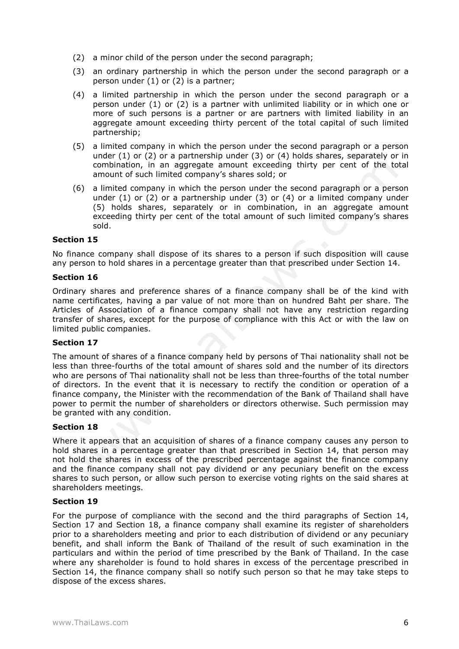- (2) a minor child of the person under the second paragraph;
- (3) an ordinary partnership in which the person under the second paragraph or a person under (1) or (2) is a partner;
- (4) a limited partnership in which the person under the second paragraph or a person under (1) or (2) is a partner with unlimited liability or in which one or more of such persons is a partner or are partners with limited liability in an aggregate amount exceeding thirty percent of the total capital of such limited partnership;
- (5) a limited company in which the person under the second paragraph or a person under (1) or (2) or a partnership under (3) or (4) holds shares, separately or in combination, in an aggregate amount exceeding thirty per cent of the total amount of such limited company's shares sold; or
- (6) a limited company in which the person under the second paragraph or a person under (1) or (2) or a partnership under (3) or (4) or a limited company under (5) holds shares, separately or in combination, in an aggregate amount exceeding thirty per cent of the total amount of such limited company's shares sold.

No finance company shall dispose of its shares to a person if such disposition will cause any person to hold shares in a percentage greater than that prescribed under Section 14.

## **Section 16**

Ordinary shares and preference shares of a finance company shall be of the kind with name certificates, having a par value of not more than on hundred Baht per share. The Articles of Association of a finance company shall not have any restriction regarding transfer of shares, except for the purpose of compliance with this Act or with the law on limited public companies.

## **Section 17**

The amount of shares of a finance company held by persons of Thai nationality shall not be less than three-fourths of the total amount of shares sold and the number of its directors who are persons of Thai nationality shall not be less than three-fourths of the total number of directors. In the event that it is necessary to rectify the condition or operation of a finance company, the Minister with the recommendation of the Bank of Thailand shall have power to permit the number of shareholders or directors otherwise. Such permission may be granted with any condition.

# **Section 18**

Where it appears that an acquisition of shares of a finance company causes any person to hold shares in a percentage greater than that prescribed in Section 14, that person may not hold the shares in excess of the prescribed percentage against the finance company and the finance company shall not pay dividend or any pecuniary benefit on the excess shares to such person, or allow such person to exercise voting rights on the said shares at shareholders meetings.

## **Section 19**

For the purpose of compliance with the second and the third paragraphs of Section 14, Section 17 and Section 18, a finance company shall examine its register of shareholders prior to a shareholders meeting and prior to each distribution of dividend or any pecuniary benefit, and shall inform the Bank of Thailand of the result of such examination in the particulars and within the period of time prescribed by the Bank of Thailand. In the case where any shareholder is found to hold shares in excess of the percentage prescribed in Section 14, the finance company shall so notify such person so that he may take steps to dispose of the excess shares.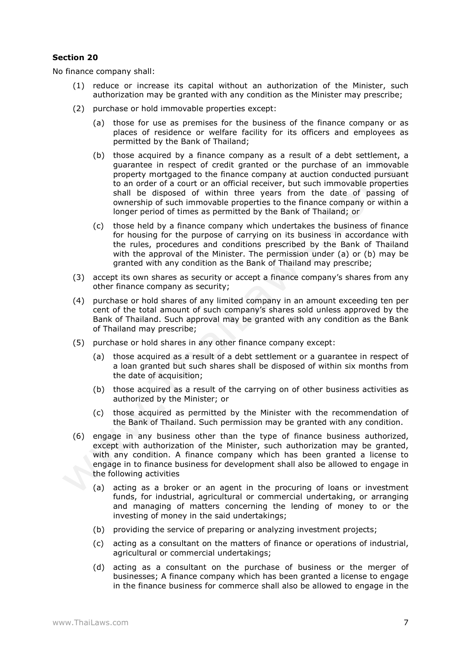No finance company shall:

- (1) reduce or increase its capital without an authorization of the Minister, such authorization may be granted with any condition as the Minister may prescribe;
- (2) purchase or hold immovable properties except:
	- (a) those for use as premises for the business of the finance company or as places of residence or welfare facility for its officers and employees as permitted by the Bank of Thailand;
	- (b) those acquired by a finance company as a result of a debt settlement, a guarantee in respect of credit granted or the purchase of an immovable property mortgaged to the finance company at auction conducted pursuant to an order of a court or an official receiver, but such immovable properties shall be disposed of within three years from the date of passing of ownership of such immovable properties to the finance company or within a longer period of times as permitted by the Bank of Thailand; or
	- (c) those held by a finance company which undertakes the business of finance for housing for the purpose of carrying on its business in accordance with the rules, procedures and conditions prescribed by the Bank of Thailand with the approval of the Minister. The permission under (a) or (b) may be granted with any condition as the Bank of Thailand may prescribe;
- (3) accept its own shares as security or accept a finance company's shares from any other finance company as security;
- (4) purchase or hold shares of any limited company in an amount exceeding ten per cent of the total amount of such company's shares sold unless approved by the Bank of Thailand. Such approval may be granted with any condition as the Bank of Thailand may prescribe;
- (5) purchase or hold shares in any other finance company except:
	- (a) those acquired as a result of a debt settlement or a guarantee in respect of a loan granted but such shares shall be disposed of within six months from the date of acquisition;
	- (b) those acquired as a result of the carrying on of other business activities as authorized by the Minister; or
	- (c) those acquired as permitted by the Minister with the recommendation of the Bank of Thailand. Such permission may be granted with any condition.
- (6) engage in any business other than the type of finance business authorized, except with authorization of the Minister, such authorization may be granted, with any condition. A finance company which has been granted a license to engage in to finance business for development shall also be allowed to engage in the following activities
	- (a) acting as a broker or an agent in the procuring of loans or investment funds, for industrial, agricultural or commercial undertaking, or arranging and managing of matters concerning the lending of money to or the investing of money in the said undertakings;
	- (b) providing the service of preparing or analyzing investment projects;
	- (c) acting as a consultant on the matters of finance or operations of industrial, agricultural or commercial undertakings;
	- (d) acting as a consultant on the purchase of business or the merger of businesses; A finance company which has been granted a license to engage in the finance business for commerce shall also be allowed to engage in the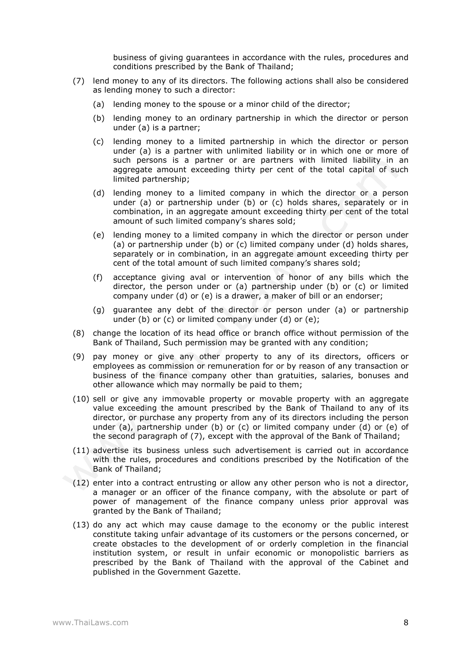business of giving guarantees in accordance with the rules, procedures and conditions prescribed by the Bank of Thailand;

- (7) lend money to any of its directors. The following actions shall also be considered as lending money to such a director:
	- (a) lending money to the spouse or a minor child of the director;
	- (b) lending money to an ordinary partnership in which the director or person under (a) is a partner;
	- (c) lending money to a limited partnership in which the director or person under (a) is a partner with unlimited liability or in which one or more of such persons is a partner or are partners with limited liability in an aggregate amount exceeding thirty per cent of the total capital of such limited partnership;
	- (d) lending money to a limited company in which the director or a person under (a) or partnership under (b) or (c) holds shares, separately or in combination, in an aggregate amount exceeding thirty per cent of the total amount of such limited company's shares sold;
	- (e) lending money to a limited company in which the director or person under (a) or partnership under (b) or (c) limited company under (d) holds shares, separately or in combination, in an aggregate amount exceeding thirty per cent of the total amount of such limited company's shares sold;
	- (f) acceptance giving aval or intervention of honor of any bills which the director, the person under or (a) partnership under (b) or (c) or limited company under (d) or (e) is a drawer, a maker of bill or an endorser;
	- (g) guarantee any debt of the director or person under (a) or partnership under (b) or (c) or limited company under (d) or (e);
- (8) change the location of its head office or branch office without permission of the Bank of Thailand, Such permission may be granted with any condition;
- (9) pay money or give any other property to any of its directors, officers or employees as commission or remuneration for or by reason of any transaction or business of the finance company other than gratuities, salaries, bonuses and other allowance which may normally be paid to them;
- (10) sell or give any immovable property or movable property with an aggregate value exceeding the amount prescribed by the Bank of Thailand to any of its director, or purchase any property from any of its directors including the person under (a), partnership under (b) or (c) or limited company under (d) or (e) of the second paragraph of (7), except with the approval of the Bank of Thailand;
- (11) advertise its business unless such advertisement is carried out in accordance with the rules, procedures and conditions prescribed by the Notification of the Bank of Thailand;
- (12) enter into a contract entrusting or allow any other person who is not a director, a manager or an officer of the finance company, with the absolute or part of power of management of the finance company unless prior approval was granted by the Bank of Thailand;
- (13) do any act which may cause damage to the economy or the public interest constitute taking unfair advantage of its customers or the persons concerned, or create obstacles to the development of or orderly completion in the financial institution system, or result in unfair economic or monopolistic barriers as prescribed by the Bank of Thailand with the approval of the Cabinet and published in the Government Gazette.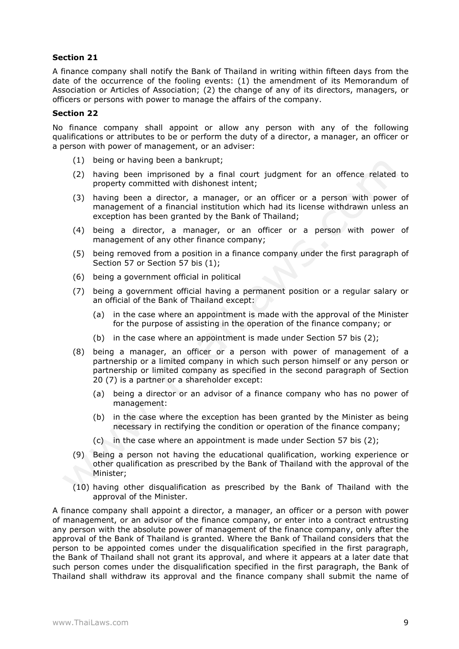A finance company shall notify the Bank of Thailand in writing within fifteen days from the date of the occurrence of the fooling events: (1) the amendment of its Memorandum of Association or Articles of Association; (2) the change of any of its directors, managers, or officers or persons with power to manage the affairs of the company.

## **Section 22**

No finance company shall appoint or allow any person with any of the following qualifications or attributes to be or perform the duty of a director, a manager, an officer or a person with power of management, or an adviser:

- (1) being or having been a bankrupt;
- (2) having been imprisoned by a final court judgment for an offence related to property committed with dishonest intent;
- (3) having been a director, a manager, or an officer or a person with power of management of a financial institution which had its license withdrawn unless an exception has been granted by the Bank of Thailand;
- (4) being a director, a manager, or an officer or a person with power of management of any other finance company;
- (5) being removed from a position in a finance company under the first paragraph of Section 57 or Section 57 bis (1);
- (6) being a government official in political
- (7) being a government official having a permanent position or a regular salary or an official of the Bank of Thailand except:
	- (a) in the case where an appointment is made with the approval of the Minister for the purpose of assisting in the operation of the finance company; or
	- (b) in the case where an appointment is made under Section 57 bis (2);
- (8) being a manager, an officer or a person with power of management of a partnership or a limited company in which such person himself or any person or partnership or limited company as specified in the second paragraph of Section 20 (7) is a partner or a shareholder except:
	- (a) being a director or an advisor of a finance company who has no power of management:
	- (b) in the case where the exception has been granted by the Minister as being necessary in rectifying the condition or operation of the finance company;
	- (c) in the case where an appointment is made under Section 57 bis (2);
- (9) Being a person not having the educational qualification, working experience or other qualification as prescribed by the Bank of Thailand with the approval of the Minister;
- (10) having other disqualification as prescribed by the Bank of Thailand with the approval of the Minister.

A finance company shall appoint a director, a manager, an officer or a person with power of management, or an advisor of the finance company, or enter into a contract entrusting any person with the absolute power of management of the finance company, only after the approval of the Bank of Thailand is granted. Where the Bank of Thailand considers that the person to be appointed comes under the disqualification specified in the first paragraph, the Bank of Thailand shall not grant its approval, and where it appears at a later date that such person comes under the disqualification specified in the first paragraph, the Bank of Thailand shall withdraw its approval and the finance company shall submit the name of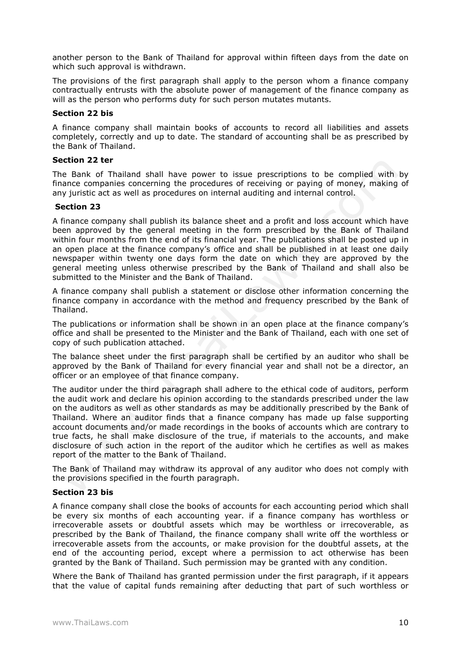another person to the Bank of Thailand for approval within fifteen days from the date on which such approval is withdrawn.

The provisions of the first paragraph shall apply to the person whom a finance company contractually entrusts with the absolute power of management of the finance company as will as the person who performs duty for such person mutates mutants.

## **Section 22 bis**

A finance company shall maintain books of accounts to record all liabilities and assets completely, correctly and up to date. The standard of accounting shall be as prescribed by the Bank of Thailand.

#### **Section 22 ter**

The Bank of Thailand shall have power to issue prescriptions to be complied with by finance companies concerning the procedures of receiving or paying of money, making of any juristic act as well as procedures on internal auditing and internal control.

#### **Section 23**

A finance company shall publish its balance sheet and a profit and loss account which have been approved by the general meeting in the form prescribed by the Bank of Thailand within four months from the end of its financial year. The publications shall be posted up in an open place at the finance company's office and shall be published in at least one daily newspaper within twenty one days form the date on which they are approved by the general meeting unless otherwise prescribed by the Bank of Thailand and shall also be submitted to the Minister and the Bank of Thailand.

A finance company shall publish a statement or disclose other information concerning the finance company in accordance with the method and frequency prescribed by the Bank of Thailand.

The publications or information shall be shown in an open place at the finance company's office and shall be presented to the Minister and the Bank of Thailand, each with one set of copy of such publication attached.

The balance sheet under the first paragraph shall be certified by an auditor who shall be approved by the Bank of Thailand for every financial year and shall not be a director, an officer or an employee of that finance company.

The auditor under the third paragraph shall adhere to the ethical code of auditors, perform the audit work and declare his opinion according to the standards prescribed under the law on the auditors as well as other standards as may be additionally prescribed by the Bank of Thailand. Where an auditor finds that a finance company has made up false supporting account documents and/or made recordings in the books of accounts which are contrary to true facts, he shall make disclosure of the true, if materials to the accounts, and make disclosure of such action in the report of the auditor which he certifies as well as makes report of the matter to the Bank of Thailand.

The Bank of Thailand may withdraw its approval of any auditor who does not comply with the provisions specified in the fourth paragraph.

## **Section 23 bis**

A finance company shall close the books of accounts for each accounting period which shall be every six months of each accounting year. if a finance company has worthless or irrecoverable assets or doubtful assets which may be worthless or irrecoverable, as prescribed by the Bank of Thailand, the finance company shall write off the worthless or irrecoverable assets from the accounts, or make provision for the doubtful assets, at the end of the accounting period, except where a permission to act otherwise has been granted by the Bank of Thailand. Such permission may be granted with any condition.

Where the Bank of Thailand has granted permission under the first paragraph, if it appears that the value of capital funds remaining after deducting that part of such worthless or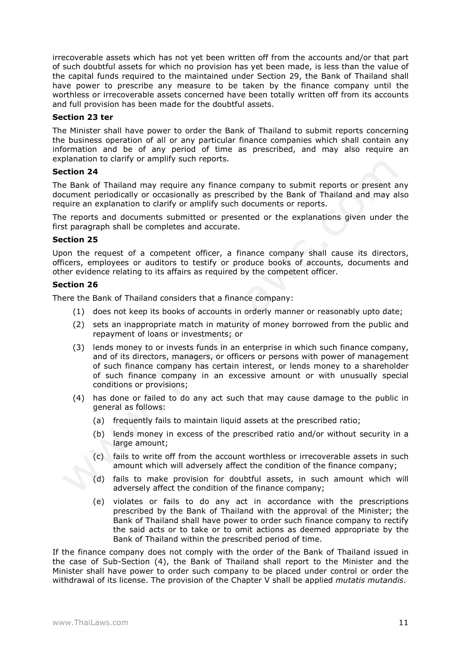irrecoverable assets which has not yet been written off from the accounts and/or that part of such doubtful assets for which no provision has yet been made, is less than the value of the capital funds required to the maintained under Section 29, the Bank of Thailand shall have power to prescribe any measure to be taken by the finance company until the worthless or irrecoverable assets concerned have been totally written off from its accounts and full provision has been made for the doubtful assets.

## **Section 23 ter**

The Minister shall have power to order the Bank of Thailand to submit reports concerning the business operation of all or any particular finance companies which shall contain any information and be of any period of time as prescribed, and may also require an explanation to clarify or amplify such reports.

## **Section 24**

The Bank of Thailand may require any finance company to submit reports or present any document periodically or occasionally as prescribed by the Bank of Thailand and may also require an explanation to clarify or amplify such documents or reports.

The reports and documents submitted or presented or the explanations given under the first paragraph shall be completes and accurate.

## **Section 25**

Upon the request of a competent officer, a finance company shall cause its directors, officers, employees or auditors to testify or produce books of accounts, documents and other evidence relating to its affairs as required by the competent officer.

# **Section 26**

There the Bank of Thailand considers that a finance company:

- (1) does not keep its books of accounts in orderly manner or reasonably upto date;
- (2) sets an inappropriate match in maturity of money borrowed from the public and repayment of loans or investments; or
- (3) lends money to or invests funds in an enterprise in which such finance company, and of its directors, managers, or officers or persons with power of management of such finance company has certain interest, or lends money to a shareholder of such finance company in an excessive amount or with unusually special conditions or provisions;
- (4) has done or failed to do any act such that may cause damage to the public in general as follows:
	- (a) frequently fails to maintain liquid assets at the prescribed ratio;
	- (b) lends money in excess of the prescribed ratio and/or without security in a large amount;
	- (c) fails to write off from the account worthless or irrecoverable assets in such amount which will adversely affect the condition of the finance company;
	- (d) fails to make provision for doubtful assets, in such amount which will adversely affect the condition of the finance company;
	- (e) violates or fails to do any act in accordance with the prescriptions prescribed by the Bank of Thailand with the approval of the Minister; the Bank of Thailand shall have power to order such finance company to rectify the said acts or to take or to omit actions as deemed appropriate by the Bank of Thailand within the prescribed period of time.

If the finance company does not comply with the order of the Bank of Thailand issued in the case of Sub-Section (4), the Bank of Thailand shall report to the Minister and the Minister shall have power to order such company to be placed under control or order the withdrawal of its license. The provision of the Chapter V shall be applied *mutatis mutandis*.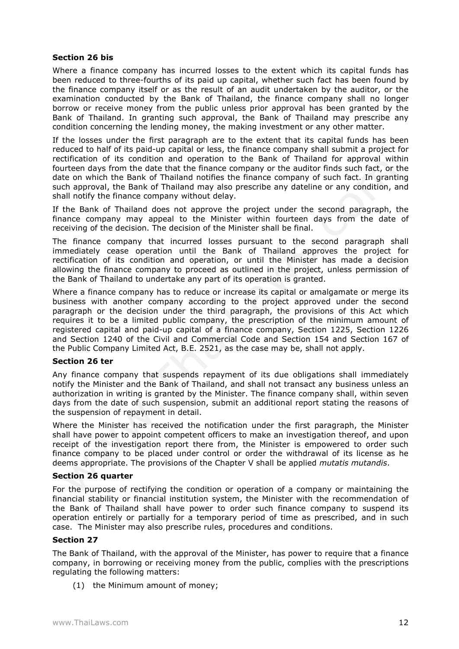## **Section 26 bis**

Where a finance company has incurred losses to the extent which its capital funds has been reduced to three-fourths of its paid up capital, whether such fact has been found by the finance company itself or as the result of an audit undertaken by the auditor, or the examination conducted by the Bank of Thailand, the finance company shall no longer borrow or receive money from the public unless prior approval has been granted by the Bank of Thailand. In granting such approval, the Bank of Thailand may prescribe any condition concerning the lending money, the making investment or any other matter.

If the losses under the first paragraph are to the extent that its capital funds has been reduced to half of its paid-up capital or less, the finance company shall submit a project for rectification of its condition and operation to the Bank of Thailand for approval within fourteen days from the date that the finance company or the auditor finds such fact, or the date on which the Bank of Thailand notifies the finance company of such fact. In granting such approval, the Bank of Thailand may also prescribe any dateline or any condition, and shall notify the finance company without delay.

If the Bank of Thailand does not approve the project under the second paragraph, the finance company may appeal to the Minister within fourteen days from the date of receiving of the decision. The decision of the Minister shall be final.

The finance company that incurred losses pursuant to the second paragraph shall immediately cease operation until the Bank of Thailand approves the project for rectification of its condition and operation, or until the Minister has made a decision allowing the finance company to proceed as outlined in the project, unless permission of the Bank of Thailand to undertake any part of its operation is granted.

Where a finance company has to reduce or increase its capital or amalgamate or merge its business with another company according to the project approved under the second paragraph or the decision under the third paragraph, the provisions of this Act which requires it to be a limited public company, the prescription of the minimum amount of registered capital and paid-up capital of a finance company, Section 1225, Section 1226 and Section 1240 of the Civil and Commercial Code and Section 154 and Section 167 of the Public Company Limited Act, B.E. 2521, as the case may be, shall not apply.

## **Section 26 ter**

Any finance company that suspends repayment of its due obligations shall immediately notify the Minister and the Bank of Thailand, and shall not transact any business unless an authorization in writing is granted by the Minister. The finance company shall, within seven days from the date of such suspension, submit an additional report stating the reasons of the suspension of repayment in detail.

Where the Minister has received the notification under the first paragraph, the Minister shall have power to appoint competent officers to make an investigation thereof, and upon receipt of the investigation report there from, the Minister is empowered to order such finance company to be placed under control or order the withdrawal of its license as he deems appropriate. The provisions of the Chapter V shall be applied *mutatis mutandis*.

## **Section 26 quarter**

For the purpose of rectifying the condition or operation of a company or maintaining the financial stability or financial institution system, the Minister with the recommendation of the Bank of Thailand shall have power to order such finance company to suspend its operation entirely or partially for a temporary period of time as prescribed, and in such case. The Minister may also prescribe rules, procedures and conditions.

## **Section 27**

The Bank of Thailand, with the approval of the Minister, has power to require that a finance company, in borrowing or receiving money from the public, complies with the prescriptions regulating the following matters:

(1) the Minimum amount of money;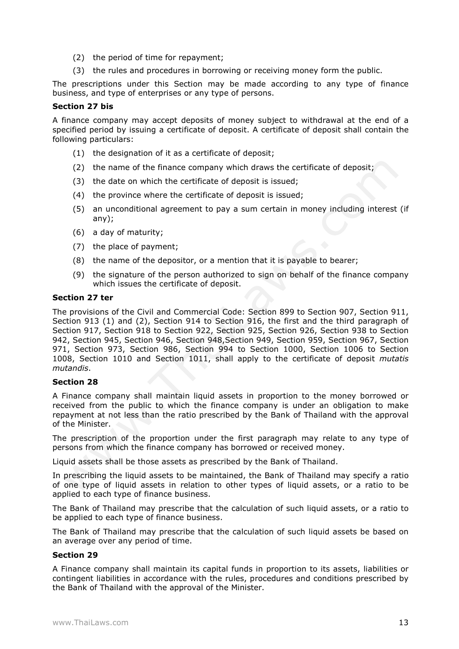- (2) the period of time for repayment;
- (3) the rules and procedures in borrowing or receiving money form the public.

The prescriptions under this Section may be made according to any type of finance business, and type of enterprises or any type of persons.

# **Section 27 bis**

A finance company may accept deposits of money subject to withdrawal at the end of a specified period by issuing a certificate of deposit. A certificate of deposit shall contain the following particulars:

- (1) the designation of it as a certificate of deposit;
- (2) the name of the finance company which draws the certificate of deposit;
- (3) the date on which the certificate of deposit is issued;
- (4) the province where the certificate of deposit is issued;
- (5) an unconditional agreement to pay a sum certain in money including interest (if any);
- (6) a day of maturity;
- (7) the place of payment;
- (8) the name of the depositor, or a mention that it is payable to bearer;
- (9) the signature of the person authorized to sign on behalf of the finance company which issues the certificate of deposit.

## **Section 27 ter**

The provisions of the Civil and Commercial Code: Section 899 to Section 907, Section 911, Section 913 (1) and (2), Section 914 to Section 916, the first and the third paragraph of Section 917, Section 918 to Section 922, Section 925, Section 926, Section 938 to Section 942, Section 945, Section 946, Section 948,Section 949, Section 959, Section 967, Section 971, Section 973, Section 986, Section 994 to Section 1000, Section 1006 to Section 1008, Section 1010 and Section 1011, shall apply to the certificate of deposit *mutatis mutandis*.

## **Section 28**

A Finance company shall maintain liquid assets in proportion to the money borrowed or received from the public to which the finance company is under an obligation to make repayment at not less than the ratio prescribed by the Bank of Thailand with the approval of the Minister.

The prescription of the proportion under the first paragraph may relate to any type of persons from which the finance company has borrowed or received money.

Liquid assets shall be those assets as prescribed by the Bank of Thailand.

In prescribing the liquid assets to be maintained, the Bank of Thailand may specify a ratio of one type of liquid assets in relation to other types of liquid assets, or a ratio to be applied to each type of finance business.

The Bank of Thailand may prescribe that the calculation of such liquid assets, or a ratio to be applied to each type of finance business.

The Bank of Thailand may prescribe that the calculation of such liquid assets be based on an average over any period of time.

## **Section 29**

A Finance company shall maintain its capital funds in proportion to its assets, liabilities or contingent liabilities in accordance with the rules, procedures and conditions prescribed by the Bank of Thailand with the approval of the Minister.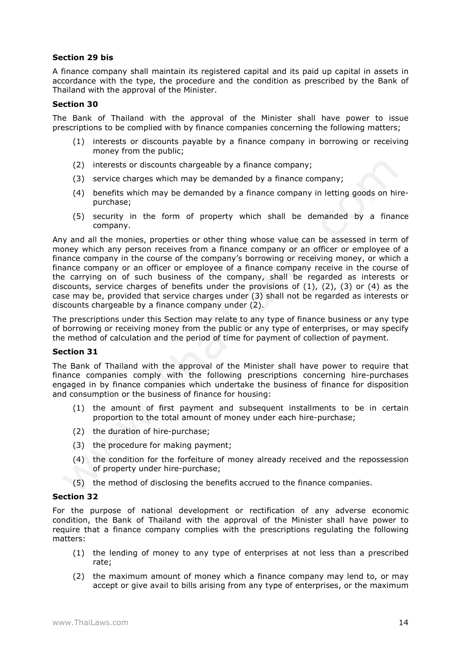## **Section 29 bis**

A finance company shall maintain its registered capital and its paid up capital in assets in accordance with the type, the procedure and the condition as prescribed by the Bank of Thailand with the approval of the Minister.

# **Section 30**

The Bank of Thailand with the approval of the Minister shall have power to issue prescriptions to be complied with by finance companies concerning the following matters;

- (1) interests or discounts payable by a finance company in borrowing or receiving money from the public;
- (2) interests or discounts chargeable by a finance company;
- (3) service charges which may be demanded by a finance company;
- (4) benefits which may be demanded by a finance company in letting goods on hirepurchase;
- (5) security in the form of property which shall be demanded by a finance company.

Any and all the monies, properties or other thing whose value can be assessed in term of money which any person receives from a finance company or an officer or employee of a finance company in the course of the company's borrowing or receiving money, or which a finance company or an officer or employee of a finance company receive in the course of the carrying on of such business of the company, shall be regarded as interests or discounts, service charges of benefits under the provisions of  $(1)$ ,  $(2)$ ,  $(3)$  or  $(4)$  as the case may be, provided that service charges under (3) shall not be regarded as interests or discounts chargeable by a finance company under (2).

The prescriptions under this Section may relate to any type of finance business or any type of borrowing or receiving money from the public or any type of enterprises, or may specify the method of calculation and the period of time for payment of collection of payment.

# **Section 31**

The Bank of Thailand with the approval of the Minister shall have power to require that finance companies comply with the following prescriptions concerning hire-purchases engaged in by finance companies which undertake the business of finance for disposition and consumption or the business of finance for housing:

- (1) the amount of first payment and subsequent installments to be in certain proportion to the total amount of money under each hire-purchase;
- (2) the duration of hire-purchase;
- (3) the procedure for making payment;
- (4) the condition for the forfeiture of money already received and the repossession of property under hire-purchase;
- (5) the method of disclosing the benefits accrued to the finance companies.

## **Section 32**

For the purpose of national development or rectification of any adverse economic condition, the Bank of Thailand with the approval of the Minister shall have power to require that a finance company complies with the prescriptions regulating the following matters:

- (1) the lending of money to any type of enterprises at not less than a prescribed rate;
- (2) the maximum amount of money which a finance company may lend to, or may accept or give avail to bills arising from any type of enterprises, or the maximum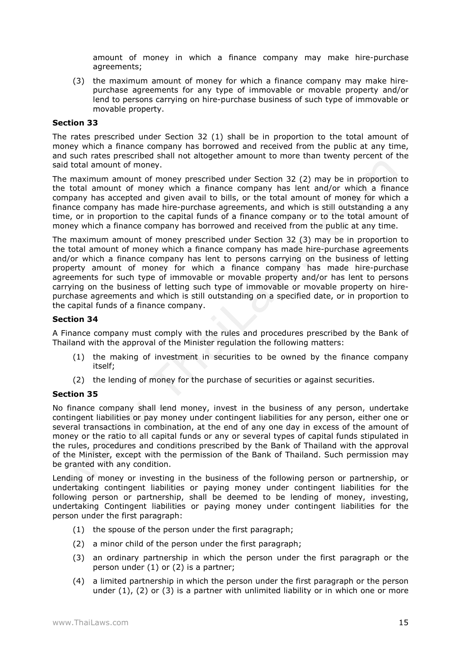amount of money in which a finance company may make hire-purchase agreements;

(3) the maximum amount of money for which a finance company may make hirepurchase agreements for any type of immovable or movable property and/or lend to persons carrying on hire-purchase business of such type of immovable or movable property.

#### **Section 33**

The rates prescribed under Section 32 (1) shall be in proportion to the total amount of money which a finance company has borrowed and received from the public at any time, and such rates prescribed shall not altogether amount to more than twenty percent of the said total amount of money.

The maximum amount of money prescribed under Section 32 (2) may be in proportion to the total amount of money which a finance company has lent and/or which a finance company has accepted and given avail to bills, or the total amount of money for which a finance company has made hire-purchase agreements, and which is still outstanding a any time, or in proportion to the capital funds of a finance company or to the total amount of money which a finance company has borrowed and received from the public at any time.

The maximum amount of money prescribed under Section 32 (3) may be in proportion to the total amount of money which a finance company has made hire-purchase agreements and/or which a finance company has lent to persons carrying on the business of letting property amount of money for which a finance company has made hire-purchase agreements for such type of immovable or movable property and/or has lent to persons carrying on the business of letting such type of immovable or movable property on hirepurchase agreements and which is still outstanding on a specified date, or in proportion to the capital funds of a finance company.

## **Section 34**

A Finance company must comply with the rules and procedures prescribed by the Bank of Thailand with the approval of the Minister regulation the following matters:

- (1) the making of investment in securities to be owned by the finance company itself;
- (2) the lending of money for the purchase of securities or against securities.

## **Section 35**

No finance company shall lend money, invest in the business of any person, undertake contingent liabilities or pay money under contingent liabilities for any person, either one or several transactions in combination, at the end of any one day in excess of the amount of money or the ratio to all capital funds or any or several types of capital funds stipulated in the rules, procedures and conditions prescribed by the Bank of Thailand with the approval of the Minister, except with the permission of the Bank of Thailand. Such permission may be granted with any condition.

Lending of money or investing in the business of the following person or partnership, or undertaking contingent liabilities or paying money under contingent liabilities for the following person or partnership, shall be deemed to be lending of money, investing, undertaking Contingent liabilities or paying money under contingent liabilities for the person under the first paragraph:

- (1) the spouse of the person under the first paragraph;
- (2) a minor child of the person under the first paragraph;
- (3) an ordinary partnership in which the person under the first paragraph or the person under (1) or (2) is a partner;
- (4) a limited partnership in which the person under the first paragraph or the person under  $(1)$ ,  $(2)$  or  $(3)$  is a partner with unlimited liability or in which one or more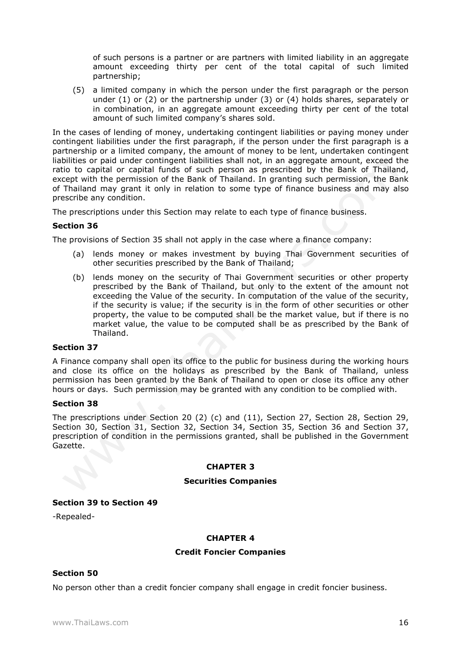of such persons is a partner or are partners with limited liability in an aggregate amount exceeding thirty per cent of the total capital of such limited partnership;

(5) a limited company in which the person under the first paragraph or the person under (1) or (2) or the partnership under (3) or (4) holds shares, separately or in combination, in an aggregate amount exceeding thirty per cent of the total amount of such limited company's shares sold.

In the cases of lending of money, undertaking contingent liabilities or paying money under contingent liabilities under the first paragraph, if the person under the first paragraph is a partnership or a limited company, the amount of money to be lent, undertaken contingent liabilities or paid under contingent liabilities shall not, in an aggregate amount, exceed the ratio to capital or capital funds of such person as prescribed by the Bank of Thailand, except with the permission of the Bank of Thailand. In granting such permission, the Bank of Thailand may grant it only in relation to some type of finance business and may also prescribe any condition.

The prescriptions under this Section may relate to each type of finance business.

## **Section 36**

The provisions of Section 35 shall not apply in the case where a finance company:

- (a) lends money or makes investment by buying Thai Government securities of other securities prescribed by the Bank of Thailand;
- (b) lends money on the security of Thai Government securities or other property prescribed by the Bank of Thailand, but only to the extent of the amount not exceeding the Value of the security. In computation of the value of the security, if the security is value; if the security is in the form of other securities or other property, the value to be computed shall be the market value, but if there is no market value, the value to be computed shall be as prescribed by the Bank of Thailand.

## **Section 37**

A Finance company shall open its office to the public for business during the working hours and close its office on the holidays as prescribed by the Bank of Thailand, unless permission has been granted by the Bank of Thailand to open or close its office any other hours or days. Such permission may be granted with any condition to be complied with.

## **Section 38**

The prescriptions under Section 20 (2) (c) and (11), Section 27, Section 28, Section 29, Section 30, Section 31, Section 32, Section 34, Section 35, Section 36 and Section 37, prescription of condition in the permissions granted, shall be published in the Government Gazette.

## **CHAPTER 3**

#### **Securities Companies**

## **Section 39 to Section 49**

-Repealed-

## **CHAPTER 4**

#### **Credit Foncier Companies**

## **Section 50**

No person other than a credit foncier company shall engage in credit foncier business.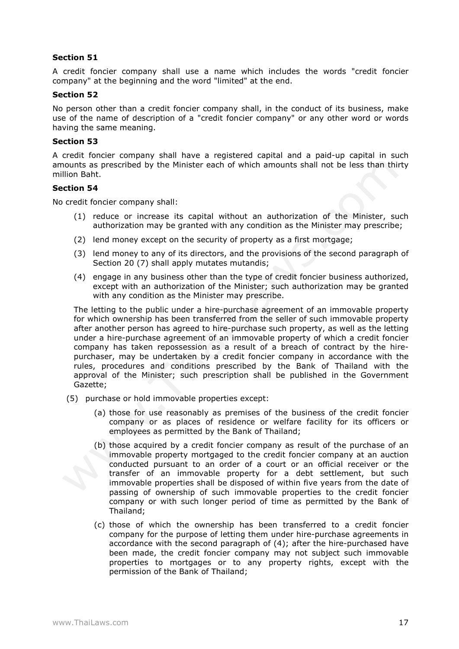A credit foncier company shall use a name which includes the words "credit foncier company" at the beginning and the word "limited" at the end.

#### **Section 52**

No person other than a credit foncier company shall, in the conduct of its business, make use of the name of description of a "credit foncier company" or any other word or words having the same meaning.

## **Section 53**

A credit foncier company shall have a registered capital and a paid-up capital in such amounts as prescribed by the Minister each of which amounts shall not be less than thirty million Baht.

## **Section 54**

No credit foncier company shall:

- (1) reduce or increase its capital without an authorization of the Minister, such authorization may be granted with any condition as the Minister may prescribe;
- (2) lend money except on the security of property as a first mortgage;
- (3) lend money to any of its directors, and the provisions of the second paragraph of Section 20 (7) shall apply mutates mutandis;
- (4) engage in any business other than the type of credit foncier business authorized, except with an authorization of the Minister; such authorization may be granted with any condition as the Minister may prescribe.

The letting to the public under a hire-purchase agreement of an immovable property for which ownership has been transferred from the seller of such immovable property after another person has agreed to hire-purchase such property, as well as the letting under a hire-purchase agreement of an immovable property of which a credit foncier company has taken repossession as a result of a breach of contract by the hirepurchaser, may be undertaken by a credit foncier company in accordance with the rules, procedures and conditions prescribed by the Bank of Thailand with the approval of the Minister; such prescription shall be published in the Government Gazette;

- (5) purchase or hold immovable properties except:
	- (a) those for use reasonably as premises of the business of the credit foncier company or as places of residence or welfare facility for its officers or employees as permitted by the Bank of Thailand;
	- (b) those acquired by a credit foncier company as result of the purchase of an immovable property mortgaged to the credit foncier company at an auction conducted pursuant to an order of a court or an official receiver or the transfer of an immovable property for a debt settlement, but such immovable properties shall be disposed of within five years from the date of passing of ownership of such immovable properties to the credit foncier company or with such longer period of time as permitted by the Bank of Thailand;
	- (c) those of which the ownership has been transferred to a credit foncier company for the purpose of letting them under hire-purchase agreements in accordance with the second paragraph of (4); after the hire-purchased have been made, the credit foncier company may not subject such immovable properties to mortgages or to any property rights, except with the permission of the Bank of Thailand;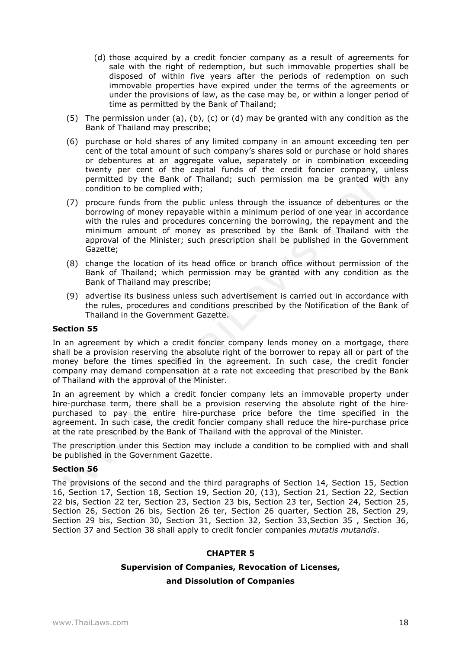- (d) those acquired by a credit foncier company as a result of agreements for sale with the right of redemption, but such immovable properties shall be disposed of within five years after the periods of redemption on such immovable properties have expired under the terms of the agreements or under the provisions of law, as the case may be, or within a longer period of time as permitted by the Bank of Thailand;
- (5) The permission under (a), (b), (c) or (d) may be granted with any condition as the Bank of Thailand may prescribe;
- (6) purchase or hold shares of any limited company in an amount exceeding ten per cent of the total amount of such company's shares sold or purchase or hold shares or debentures at an aggregate value, separately or in combination exceeding twenty per cent of the capital funds of the credit foncier company, unless permitted by the Bank of Thailand; such permission ma be granted with any condition to be complied with;
- (7) procure funds from the public unless through the issuance of debentures or the borrowing of money repayable within a minimum period of one year in accordance with the rules and procedures concerning the borrowing, the repayment and the minimum amount of money as prescribed by the Bank of Thailand with the approval of the Minister; such prescription shall be published in the Government Gazette;
- (8) change the location of its head office or branch office without permission of the Bank of Thailand; which permission may be granted with any condition as the Bank of Thailand may prescribe;
- (9) advertise its business unless such advertisement is carried out in accordance with the rules, procedures and conditions prescribed by the Notification of the Bank of Thailand in the Government Gazette.

In an agreement by which a credit foncier company lends money on a mortgage, there shall be a provision reserving the absolute right of the borrower to repay all or part of the money before the times specified in the agreement. In such case, the credit foncier company may demand compensation at a rate not exceeding that prescribed by the Bank of Thailand with the approval of the Minister.

In an agreement by which a credit foncier company lets an immovable property under hire-purchase term, there shall be a provision reserving the absolute right of the hirepurchased to pay the entire hire-purchase price before the time specified in the agreement. In such case, the credit foncier company shall reduce the hire-purchase price at the rate prescribed by the Bank of Thailand with the approval of the Minister.

The prescription under this Section may include a condition to be complied with and shall be published in the Government Gazette.

## **Section 56**

The provisions of the second and the third paragraphs of Section 14, Section 15, Section 16, Section 17, Section 18, Section 19, Section 20, (13), Section 21, Section 22, Section 22 bis, Section 22 ter, Section 23, Section 23 bis, Section 23 ter, Section 24, Section 25, Section 26, Section 26 bis, Section 26 ter, Section 26 quarter, Section 28, Section 29, Section 29 bis, Section 30, Section 31, Section 32, Section 33,Section 35 , Section 36, Section 37 and Section 38 shall apply to credit foncier companies *mutatis mutandis*.

## **CHAPTER 5**

## **Supervision of Companies, Revocation of Licenses,**

## **and Dissolution of Companies**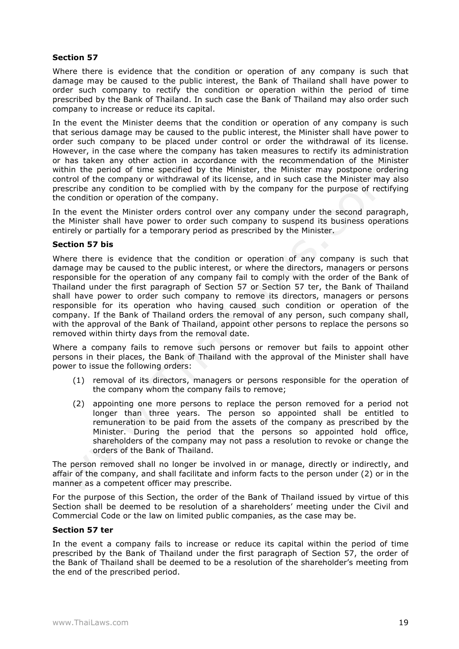Where there is evidence that the condition or operation of any company is such that damage may be caused to the public interest, the Bank of Thailand shall have power to order such company to rectify the condition or operation within the period of time prescribed by the Bank of Thailand. In such case the Bank of Thailand may also order such company to increase or reduce its capital.

In the event the Minister deems that the condition or operation of any company is such that serious damage may be caused to the public interest, the Minister shall have power to order such company to be placed under control or order the withdrawal of its license. However, in the case where the company has taken measures to rectify its administration or has taken any other action in accordance with the recommendation of the Minister within the period of time specified by the Minister, the Minister may postpone ordering control of the company or withdrawal of its license, and in such case the Minister may also prescribe any condition to be complied with by the company for the purpose of rectifying the condition or operation of the company.

In the event the Minister orders control over any company under the second paragraph, the Minister shall have power to order such company to suspend its business operations entirely or partially for a temporary period as prescribed by the Minister.

#### **Section 57 bis**

Where there is evidence that the condition or operation of any company is such that damage may be caused to the public interest, or where the directors, managers or persons responsible for the operation of any company fail to comply with the order of the Bank of Thailand under the first paragraph of Section 57 or Section 57 ter, the Bank of Thailand shall have power to order such company to remove its directors, managers or persons responsible for its operation who having caused such condition or operation of the company. If the Bank of Thailand orders the removal of any person, such company shall, with the approval of the Bank of Thailand, appoint other persons to replace the persons so removed within thirty days from the removal date.

Where a company fails to remove such persons or remover but fails to appoint other persons in their places, the Bank of Thailand with the approval of the Minister shall have power to issue the following orders:

- (1) removal of its directors, managers or persons responsible for the operation of the company whom the company fails to remove;
- (2) appointing one more persons to replace the person removed for a period not longer than three years. The person so appointed shall be entitled to remuneration to be paid from the assets of the company as prescribed by the Minister. During the period that the persons so appointed hold office, shareholders of the company may not pass a resolution to revoke or change the orders of the Bank of Thailand.

The person removed shall no longer be involved in or manage, directly or indirectly, and affair of the company, and shall facilitate and inform facts to the person under (2) or in the manner as a competent officer may prescribe.

For the purpose of this Section, the order of the Bank of Thailand issued by virtue of this Section shall be deemed to be resolution of a shareholders' meeting under the Civil and Commercial Code or the law on limited public companies, as the case may be.

## **Section 57 ter**

In the event a company fails to increase or reduce its capital within the period of time prescribed by the Bank of Thailand under the first paragraph of Section 57, the order of the Bank of Thailand shall be deemed to be a resolution of the shareholder's meeting from the end of the prescribed period.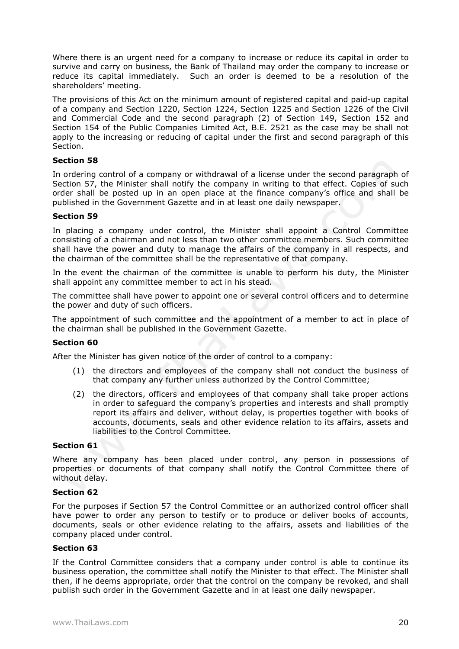Where there is an urgent need for a company to increase or reduce its capital in order to survive and carry on business, the Bank of Thailand may order the company to increase or reduce its capital immediately. Such an order is deemed to be a resolution of the shareholders' meeting.

The provisions of this Act on the minimum amount of registered capital and paid-up capital of a company and Section 1220, Section 1224, Section 1225 and Section 1226 of the Civil and Commercial Code and the second paragraph (2) of Section 149, Section 152 and Section 154 of the Public Companies Limited Act, B.E. 2521 as the case may be shall not apply to the increasing or reducing of capital under the first and second paragraph of this Section.

# **Section 58**

In ordering control of a company or withdrawal of a license under the second paragraph of Section 57, the Minister shall notify the company in writing to that effect. Copies of such order shall be posted up in an open place at the finance company's office and shall be published in the Government Gazette and in at least one daily newspaper.

## **Section 59**

In placing a company under control, the Minister shall appoint a Control Committee consisting of a chairman and not less than two other committee members. Such committee shall have the power and duty to manage the affairs of the company in all respects, and the chairman of the committee shall be the representative of that company.

In the event the chairman of the committee is unable to perform his duty, the Minister shall appoint any committee member to act in his stead.

The committee shall have power to appoint one or several control officers and to determine the power and duty of such officers.

The appointment of such committee and the appointment of a member to act in place of the chairman shall be published in the Government Gazette.

# **Section 60**

After the Minister has given notice of the order of control to a company:

- (1) the directors and employees of the company shall not conduct the business of that company any further unless authorized by the Control Committee;
- (2) the directors, officers and employees of that company shall take proper actions in order to safeguard the company's properties and interests and shall promptly report its affairs and deliver, without delay, is properties together with books of accounts, documents, seals and other evidence relation to its affairs, assets and liabilities to the Control Committee.

## **Section 61**

Where any company has been placed under control, any person in possessions of properties or documents of that company shall notify the Control Committee there of without delay.

## **Section 62**

For the purposes if Section 57 the Control Committee or an authorized control officer shall have power to order any person to testify or to produce or deliver books of accounts, documents, seals or other evidence relating to the affairs, assets and liabilities of the company placed under control.

## **Section 63**

If the Control Committee considers that a company under control is able to continue its business operation, the committee shall notify the Minister to that effect. The Minister shall then, if he deems appropriate, order that the control on the company be revoked, and shall publish such order in the Government Gazette and in at least one daily newspaper.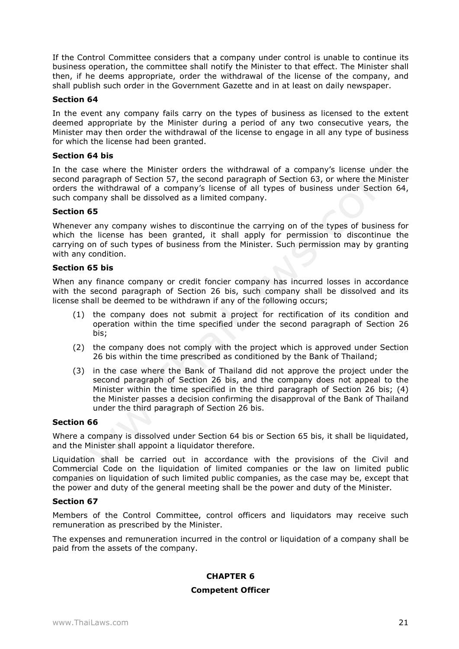If the Control Committee considers that a company under control is unable to continue its business operation, the committee shall notify the Minister to that effect. The Minister shall then, if he deems appropriate, order the withdrawal of the license of the company, and shall publish such order in the Government Gazette and in at least on daily newspaper.

# **Section 64**

In the event any company fails carry on the types of business as licensed to the extent deemed appropriate by the Minister during a period of any two consecutive years, the Minister may then order the withdrawal of the license to engage in all any type of business for which the license had been granted.

## **Section 64 bis**

In the case where the Minister orders the withdrawal of a company's license under the second paragraph of Section 57, the second paragraph of Section 63, or where the Minister orders the withdrawal of a company's license of all types of business under Section 64, such company shall be dissolved as a limited company.

# **Section 65**

Whenever any company wishes to discontinue the carrying on of the types of business for which the license has been granted, it shall apply for permission to discontinue the carrying on of such types of business from the Minister. Such permission may by granting with any condition.

## **Section 65 bis**

When any finance company or credit foncier company has incurred losses in accordance with the second paragraph of Section 26 bis, such company shall be dissolved and its license shall be deemed to be withdrawn if any of the following occurs;

- (1) the company does not submit a project for rectification of its condition and operation within the time specified under the second paragraph of Section 26 bis;
- (2) the company does not comply with the project which is approved under Section 26 bis within the time prescribed as conditioned by the Bank of Thailand;
- (3) in the case where the Bank of Thailand did not approve the project under the second paragraph of Section 26 bis, and the company does not appeal to the Minister within the time specified in the third paragraph of Section 26 bis; (4) the Minister passes a decision confirming the disapproval of the Bank of Thailand under the third paragraph of Section 26 bis.

## **Section 66**

Where a company is dissolved under Section 64 bis or Section 65 bis, it shall be liquidated, and the Minister shall appoint a liquidator therefore.

Liquidation shall be carried out in accordance with the provisions of the Civil and Commercial Code on the liquidation of limited companies or the law on limited public companies on liquidation of such limited public companies, as the case may be, except that the power and duty of the general meeting shall be the power and duty of the Minister.

## **Section 67**

Members of the Control Committee, control officers and liquidators may receive such remuneration as prescribed by the Minister.

The expenses and remuneration incurred in the control or liquidation of a company shall be paid from the assets of the company.

## **CHAPTER 6**

## **Competent Officer**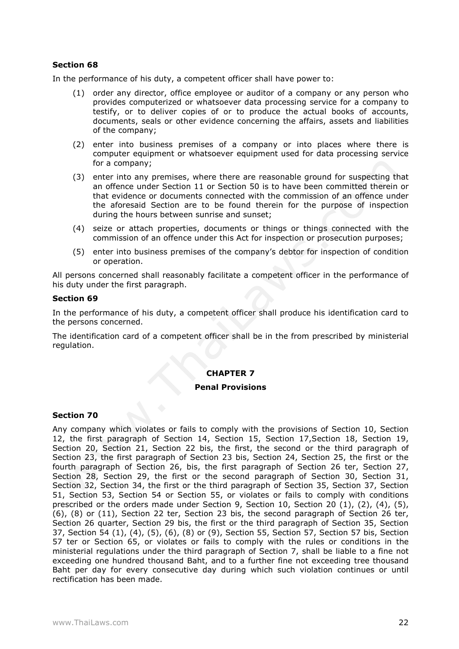In the performance of his duty, a competent officer shall have power to:

- (1) order any director, office employee or auditor of a company or any person who provides computerized or whatsoever data processing service for a company to testify, or to deliver copies of or to produce the actual books of accounts, documents, seals or other evidence concerning the affairs, assets and liabilities of the company;
- (2) enter into business premises of a company or into places where there is computer equipment or whatsoever equipment used for data processing service for a company;
- (3) enter into any premises, where there are reasonable ground for suspecting that an offence under Section 11 or Section 50 is to have been committed therein or that evidence or documents connected with the commission of an offence under the aforesaid Section are to be found therein for the purpose of inspection during the hours between sunrise and sunset;
- (4) seize or attach properties, documents or things or things connected with the commission of an offence under this Act for inspection or prosecution purposes;
- (5) enter into business premises of the company's debtor for inspection of condition or operation.

All persons concerned shall reasonably facilitate a competent officer in the performance of his duty under the first paragraph.

## **Section 69**

In the performance of his duty, a competent officer shall produce his identification card to the persons concerned.

The identification card of a competent officer shall be in the from prescribed by ministerial regulation.

## **CHAPTER 7**

## **Penal Provisions**

## **Section 70**

Any company which violates or fails to comply with the provisions of Section 10, Section 12, the first paragraph of Section 14, Section 15, Section 17,Section 18, Section 19, Section 20, Section 21, Section 22 bis, the first, the second or the third paragraph of Section 23, the first paragraph of Section 23 bis, Section 24, Section 25, the first or the fourth paragraph of Section 26, bis, the first paragraph of Section 26 ter, Section 27, Section 28, Section 29, the first or the second paragraph of Section 30, Section 31, Section 32, Section 34, the first or the third paragraph of Section 35, Section 37, Section 51, Section 53, Section 54 or Section 55, or violates or fails to comply with conditions prescribed or the orders made under Section 9, Section 10, Section 20 (1), (2), (4), (5), (6), (8) or (11), Section 22 ter, Section 23 bis, the second paragraph of Section 26 ter, Section 26 quarter, Section 29 bis, the first or the third paragraph of Section 35, Section 37, Section 54 (1), (4), (5), (6), (8) or (9), Section 55, Section 57, Section 57 bis, Section 57 ter or Section 65, or violates or fails to comply with the rules or conditions in the ministerial regulations under the third paragraph of Section 7, shall be liable to a fine not exceeding one hundred thousand Baht, and to a further fine not exceeding tree thousand Baht per day for every consecutive day during which such violation continues or until rectification has been made.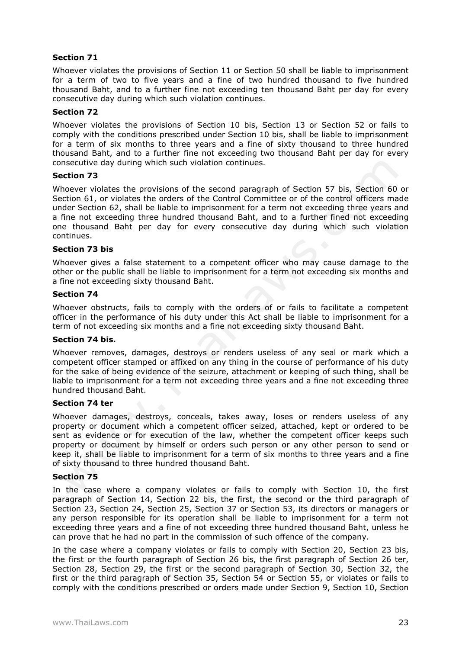Whoever violates the provisions of Section 11 or Section 50 shall be liable to imprisonment for a term of two to five years and a fine of two hundred thousand to five hundred thousand Baht, and to a further fine not exceeding ten thousand Baht per day for every consecutive day during which such violation continues.

## **Section 72**

Whoever violates the provisions of Section 10 bis, Section 13 or Section 52 or fails to comply with the conditions prescribed under Section 10 bis, shall be liable to imprisonment for a term of six months to three years and a fine of sixty thousand to three hundred thousand Baht, and to a further fine not exceeding two thousand Baht per day for every consecutive day during which such violation continues.

## **Section 73**

Whoever violates the provisions of the second paragraph of Section 57 bis, Section 60 or Section 61, or violates the orders of the Control Committee or of the control officers made under Section 62, shall be liable to imprisonment for a term not exceeding three years and a fine not exceeding three hundred thousand Baht, and to a further fined not exceeding one thousand Baht per day for every consecutive day during which such violation continues.

## **Section 73 bis**

Whoever gives a false statement to a competent officer who may cause damage to the other or the public shall be liable to imprisonment for a term not exceeding six months and a fine not exceeding sixty thousand Baht.

#### **Section 74**

Whoever obstructs, fails to comply with the orders of or fails to facilitate a competent officer in the performance of his duty under this Act shall be liable to imprisonment for a term of not exceeding six months and a fine not exceeding sixty thousand Baht.

## **Section 74 bis.**

Whoever removes, damages, destroys or renders useless of any seal or mark which a competent officer stamped or affixed on any thing in the course of performance of his duty for the sake of being evidence of the seizure, attachment or keeping of such thing, shall be liable to imprisonment for a term not exceeding three years and a fine not exceeding three hundred thousand Baht.

## **Section 74 ter**

Whoever damages, destroys, conceals, takes away, loses or renders useless of any property or document which a competent officer seized, attached, kept or ordered to be sent as evidence or for execution of the law, whether the competent officer keeps such property or document by himself or orders such person or any other person to send or keep it, shall be liable to imprisonment for a term of six months to three years and a fine of sixty thousand to three hundred thousand Baht.

## **Section 75**

In the case where a company violates or fails to comply with Section 10, the first paragraph of Section 14, Section 22 bis, the first, the second or the third paragraph of Section 23, Section 24, Section 25, Section 37 or Section 53, its directors or managers or any person responsible for its operation shall be liable to imprisonment for a term not exceeding three years and a fine of not exceeding three hundred thousand Baht, unless he can prove that he had no part in the commission of such offence of the company.

In the case where a company violates or fails to comply with Section 20, Section 23 bis, the first or the fourth paragraph of Section 26 bis, the first paragraph of Section 26 ter, Section 28, Section 29, the first or the second paragraph of Section 30, Section 32, the first or the third paragraph of Section 35, Section 54 or Section 55, or violates or fails to comply with the conditions prescribed or orders made under Section 9, Section 10, Section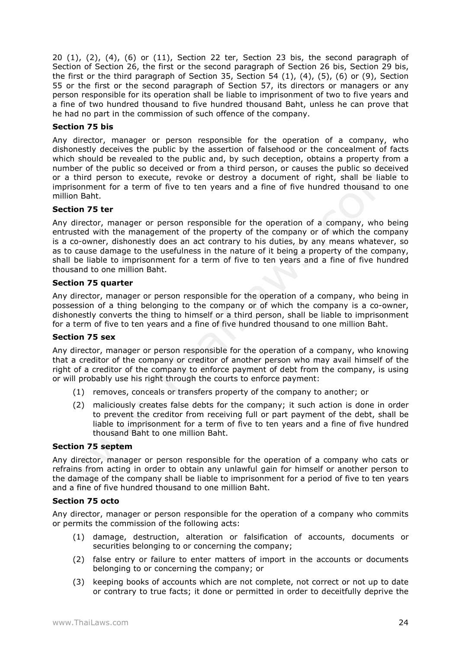$20$   $(1)$ ,  $(2)$ ,  $(4)$ ,  $(6)$  or  $(11)$ , Section 22 ter, Section 23 bis, the second paragraph of Section of Section 26, the first or the second paragraph of Section 26 bis, Section 29 bis, the first or the third paragraph of Section 35, Section 54 (1), (4), (5), (6) or (9), Section 55 or the first or the second paragraph of Section 57, its directors or managers or any person responsible for its operation shall be liable to imprisonment of two to five years and a fine of two hundred thousand to five hundred thousand Baht, unless he can prove that he had no part in the commission of such offence of the company.

# **Section 75 bis**

Any director, manager or person responsible for the operation of a company, who dishonestly deceives the public by the assertion of falsehood or the concealment of facts which should be revealed to the public and, by such deception, obtains a property from a number of the public so deceived or from a third person, or causes the public so deceived or a third person to execute, revoke or destroy a document of right, shall be liable to imprisonment for a term of five to ten years and a fine of five hundred thousand to one million Baht.

# **Section 75 ter**

Any director, manager or person responsible for the operation of a company, who being entrusted with the management of the property of the company or of which the company is a co-owner, dishonestly does an act contrary to his duties, by any means whatever, so as to cause damage to the usefulness in the nature of it being a property of the company, shall be liable to imprisonment for a term of five to ten years and a fine of five hundred thousand to one million Baht.

# **Section 75 quarter**

Any director, manager or person responsible for the operation of a company, who being in possession of a thing belonging to the company or of which the company is a co-owner, dishonestly converts the thing to himself or a third person, shall be liable to imprisonment for a term of five to ten years and a fine of five hundred thousand to one million Baht.

## **Section 75 sex**

Any director, manager or person responsible for the operation of a company, who knowing that a creditor of the company or creditor of another person who may avail himself of the right of a creditor of the company to enforce payment of debt from the company, is using or will probably use his right through the courts to enforce payment:

- (1) removes, conceals or transfers property of the company to another; or
- (2) maliciously creates false debts for the company; it such action is done in order to prevent the creditor from receiving full or part payment of the debt, shall be liable to imprisonment for a term of five to ten years and a fine of five hundred thousand Baht to one million Baht.

## **Section 75 septem**

Any director, manager or person responsible for the operation of a company who cats or refrains from acting in order to obtain any unlawful gain for himself or another person to the damage of the company shall be liable to imprisonment for a period of five to ten years and a fine of five hundred thousand to one million Baht.

## **Section 75 octo**

Any director, manager or person responsible for the operation of a company who commits or permits the commission of the following acts:

- (1) damage, destruction, alteration or falsification of accounts, documents or securities belonging to or concerning the company;
- (2) false entry or failure to enter matters of import in the accounts or documents belonging to or concerning the company; or
- (3) keeping books of accounts which are not complete, not correct or not up to date or contrary to true facts; it done or permitted in order to deceitfully deprive the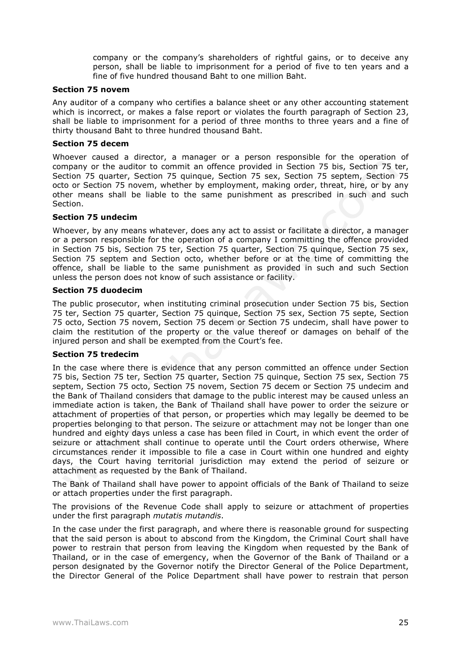company or the company's shareholders of rightful gains, or to deceive any person, shall be liable to imprisonment for a period of five to ten years and a fine of five hundred thousand Baht to one million Baht.

#### **Section 75 novem**

Any auditor of a company who certifies a balance sheet or any other accounting statement which is incorrect, or makes a false report or violates the fourth paragraph of Section 23, shall be liable to imprisonment for a period of three months to three years and a fine of thirty thousand Baht to three hundred thousand Baht.

## **Section 75 decem**

Whoever caused a director, a manager or a person responsible for the operation of company or the auditor to commit an offence provided in Section 75 bis, Section 75 ter, Section 75 quarter, Section 75 quinque, Section 75 sex, Section 75 septem, Section 75 octo or Section 75 novem, whether by employment, making order, threat, hire, or by any other means shall be liable to the same punishment as prescribed in such and such Section.

## **Section 75 undecim**

Whoever, by any means whatever, does any act to assist or facilitate a director, a manager or a person responsible for the operation of a company I committing the offence provided in Section 75 bis, Section 75 ter, Section 75 quarter, Section 75 quinque, Section 75 sex, Section 75 septem and Section octo, whether before or at the time of committing the offence, shall be liable to the same punishment as provided in such and such Section unless the person does not know of such assistance or facility.

#### **Section 75 duodecim**

The public prosecutor, when instituting criminal prosecution under Section 75 bis, Section 75 ter, Section 75 quarter, Section 75 quinque, Section 75 sex, Section 75 septe, Section 75 octo, Section 75 novem, Section 75 decem or Section 75 undecim, shall have power to claim the restitution of the property or the value thereof or damages on behalf of the injured person and shall be exempted from the Court's fee.

## **Section 75 tredecim**

In the case where there is evidence that any person committed an offence under Section 75 bis, Section 75 ter, Section 75 quarter, Section 75 quinque, Section 75 sex, Section 75 septem, Section 75 octo, Section 75 novem, Section 75 decem or Section 75 undecim and the Bank of Thailand considers that damage to the public interest may be caused unless an immediate action is taken, the Bank of Thailand shall have power to order the seizure or attachment of properties of that person, or properties which may legally be deemed to be properties belonging to that person. The seizure or attachment may not be longer than one hundred and eighty days unless a case has been filed in Court, in which event the order of seizure or attachment shall continue to operate until the Court orders otherwise, Where circumstances render it impossible to file a case in Court within one hundred and eighty days, the Court having territorial jurisdiction may extend the period of seizure or attachment as requested by the Bank of Thailand.

The Bank of Thailand shall have power to appoint officials of the Bank of Thailand to seize or attach properties under the first paragraph.

The provisions of the Revenue Code shall apply to seizure or attachment of properties under the first paragraph *mutatis mutandis*.

In the case under the first paragraph, and where there is reasonable ground for suspecting that the said person is about to abscond from the Kingdom, the Criminal Court shall have power to restrain that person from leaving the Kingdom when requested by the Bank of Thailand, or in the case of emergency, when the Governor of the Bank of Thailand or a person designated by the Governor notify the Director General of the Police Department, the Director General of the Police Department shall have power to restrain that person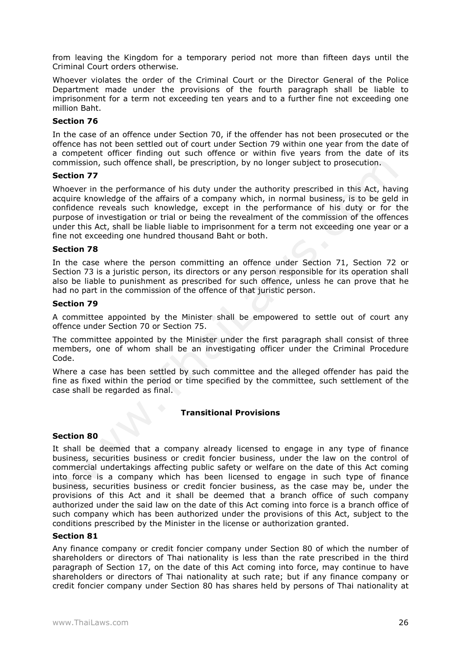from leaving the Kingdom for a temporary period not more than fifteen days until the Criminal Court orders otherwise.

Whoever violates the order of the Criminal Court or the Director General of the Police Department made under the provisions of the fourth paragraph shall be liable to imprisonment for a term not exceeding ten years and to a further fine not exceeding one million Baht.

#### **Section 76**

In the case of an offence under Section 70, if the offender has not been prosecuted or the offence has not been settled out of court under Section 79 within one year from the date of a competent officer finding out such offence or within five years from the date of its commission, such offence shall, be prescription, by no longer subject to prosecution.

#### **Section 77**

Whoever in the performance of his duty under the authority prescribed in this Act, having acquire knowledge of the affairs of a company which, in normal business, is to be geld in confidence reveals such knowledge, except in the performance of his duty or for the purpose of investigation or trial or being the revealment of the commission of the offences under this Act, shall be liable liable to imprisonment for a term not exceeding one year or a fine not exceeding one hundred thousand Baht or both.

#### **Section 78**

In the case where the person committing an offence under Section 71, Section 72 or Section 73 is a juristic person, its directors or any person responsible for its operation shall also be liable to punishment as prescribed for such offence, unless he can prove that he had no part in the commission of the offence of that juristic person.

#### **Section 79**

A committee appointed by the Minister shall be empowered to settle out of court any offence under Section 70 or Section 75.

The committee appointed by the Minister under the first paragraph shall consist of three members, one of whom shall be an investigating officer under the Criminal Procedure Code.

Where a case has been settled by such committee and the alleged offender has paid the fine as fixed within the period or time specified by the committee, such settlement of the case shall be regarded as final.

## **Transitional Provisions**

#### **Section 80**

It shall be deemed that a company already licensed to engage in any type of finance business, securities business or credit foncier business, under the law on the control of commercial undertakings affecting public safety or welfare on the date of this Act coming into force is a company which has been licensed to engage in such type of finance business, securities business or credit foncier business, as the case may be, under the provisions of this Act and it shall be deemed that a branch office of such company authorized under the said law on the date of this Act coming into force is a branch office of such company which has been authorized under the provisions of this Act, subject to the conditions prescribed by the Minister in the license or authorization granted.

#### **Section 81**

Any finance company or credit foncier company under Section 80 of which the number of shareholders or directors of Thai nationality is less than the rate prescribed in the third paragraph of Section 17, on the date of this Act coming into force, may continue to have shareholders or directors of Thai nationality at such rate; but if any finance company or credit foncier company under Section 80 has shares held by persons of Thai nationality at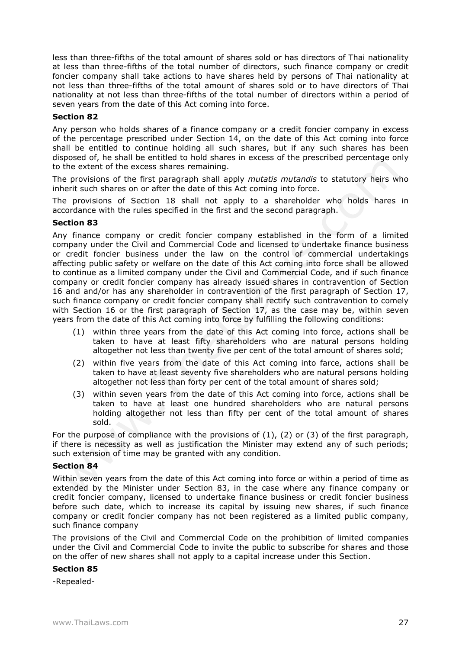less than three-fifths of the total amount of shares sold or has directors of Thai nationality at less than three-fifths of the total number of directors, such finance company or credit foncier company shall take actions to have shares held by persons of Thai nationality at not less than three-fifths of the total amount of shares sold or to have directors of Thai nationality at not less than three-fifths of the total number of directors within a period of seven years from the date of this Act coming into force.

# **Section 82**

Any person who holds shares of a finance company or a credit foncier company in excess of the percentage prescribed under Section 14, on the date of this Act coming into force shall be entitled to continue holding all such shares, but if any such shares has been disposed of, he shall be entitled to hold shares in excess of the prescribed percentage only to the extent of the excess shares remaining.

The provisions of the first paragraph shall apply *mutatis mutandis* to statutory heirs who inherit such shares on or after the date of this Act coming into force.

The provisions of Section 18 shall not apply to a shareholder who holds hares in accordance with the rules specified in the first and the second paragraph.

# **Section 83**

Any finance company or credit foncier company established in the form of a limited company under the Civil and Commercial Code and licensed to undertake finance business or credit foncier business under the law on the control of commercial undertakings affecting public safety or welfare on the date of this Act coming into force shall be allowed to continue as a limited company under the Civil and Commercial Code, and if such finance company or credit foncier company has already issued shares in contravention of Section 16 and and/or has any shareholder in contravention of the first paragraph of Section 17, such finance company or credit foncier company shall rectify such contravention to comely with Section 16 or the first paragraph of Section 17, as the case may be, within seven years from the date of this Act coming into force by fulfilling the following conditions:

- (1) within three years from the date of this Act coming into force, actions shall be taken to have at least fifty shareholders who are natural persons holding altogether not less than twenty five per cent of the total amount of shares sold;
- (2) within five years from the date of this Act coming into farce, actions shall be taken to have at least seventy five shareholders who are natural persons holding altogether not less than forty per cent of the total amount of shares sold;
- (3) within seven years from the date of this Act coming into force, actions shall be taken to have at least one hundred shareholders who are natural persons holding altogether not less than fifty per cent of the total amount of shares sold.

For the purpose of compliance with the provisions of  $(1)$ ,  $(2)$  or  $(3)$  of the first paragraph, if there is necessity as well as justification the Minister may extend any of such periods; such extension of time may be granted with any condition.

## **Section 84**

Within seven years from the date of this Act coming into force or within a period of time as extended by the Minister under Section 83, in the case where any finance company or credit foncier company, licensed to undertake finance business or credit foncier business before such date, which to increase its capital by issuing new shares, if such finance company or credit foncier company has not been registered as a limited public company, such finance company

The provisions of the Civil and Commercial Code on the prohibition of limited companies under the Civil and Commercial Code to invite the public to subscribe for shares and those on the offer of new shares shall not apply to a capital increase under this Section.

## **Section 85**

-Repealed-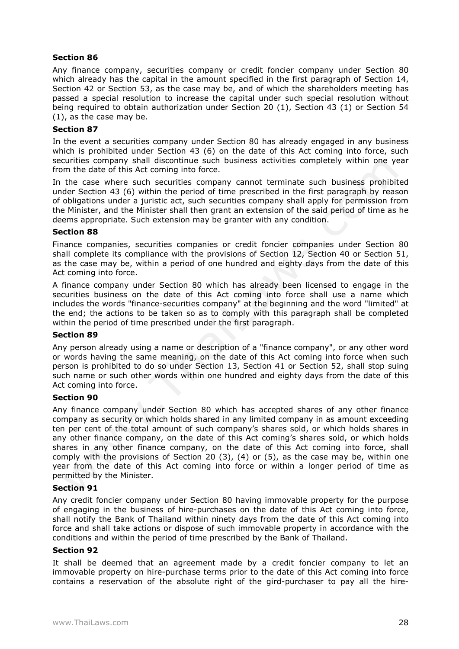Any finance company, securities company or credit foncier company under Section 80 which already has the capital in the amount specified in the first paragraph of Section 14, Section 42 or Section 53, as the case may be, and of which the shareholders meeting has passed a special resolution to increase the capital under such special resolution without being required to obtain authorization under Section 20 (1), Section 43 (1) or Section 54 (1), as the case may be.

## **Section 87**

In the event a securities company under Section 80 has already engaged in any business which is prohibited under Section 43 (6) on the date of this Act coming into force, such securities company shall discontinue such business activities completely within one year from the date of this Act coming into force.

In the case where such securities company cannot terminate such business prohibited under Section 43 (6) within the period of time prescribed in the first paragraph by reason of obligations under a juristic act, such securities company shall apply for permission from the Minister, and the Minister shall then grant an extension of the said period of time as he deems appropriate. Such extension may be granter with any condition.

## **Section 88**

Finance companies, securities companies or credit foncier companies under Section 80 shall complete its compliance with the provisions of Section 12, Section 40 or Section 51, as the case may be, within a period of one hundred and eighty days from the date of this Act coming into force.

A finance company under Section 80 which has already been licensed to engage in the securities business on the date of this Act coming into force shall use a name which includes the words "finance-securities company" at the beginning and the word "limited" at the end; the actions to be taken so as to comply with this paragraph shall be completed within the period of time prescribed under the first paragraph.

## **Section 89**

Any person already using a name or description of a "finance company", or any other word or words having the same meaning, on the date of this Act coming into force when such person is prohibited to do so under Section 13, Section 41 or Section 52, shall stop suing such name or such other words within one hundred and eighty days from the date of this Act coming into force.

## **Section 90**

Any finance company under Section 80 which has accepted shares of any other finance company as security or which holds shared in any limited company in as amount exceeding ten per cent of the total amount of such company's shares sold, or which holds shares in any other finance company, on the date of this Act coming's shares sold, or which holds shares in any other finance company, on the date of this Act coming into force, shall comply with the provisions of Section 20 (3), (4) or (5), as the case may be, within one year from the date of this Act coming into force or within a longer period of time as permitted by the Minister.

## **Section 91**

Any credit foncier company under Section 80 having immovable property for the purpose of engaging in the business of hire-purchases on the date of this Act coming into force, shall notify the Bank of Thailand within ninety days from the date of this Act coming into force and shall take actions or dispose of such immovable property in accordance with the conditions and within the period of time prescribed by the Bank of Thailand.

## **Section 92**

It shall be deemed that an agreement made by a credit foncier company to let an immovable property on hire-purchase terms prior to the date of this Act coming into force contains a reservation of the absolute right of the gird-purchaser to pay all the hire